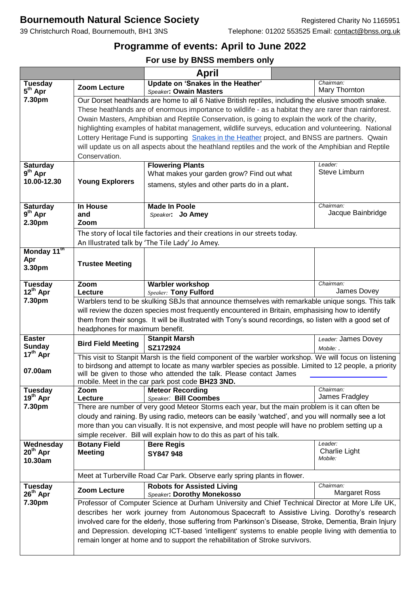## **Bournemouth Natural Science Society** Registered Charity No 1165951

## **Programme of events: April to June 2022**

## **For use by BNSS members only**

|                                       |                                                                                                                                                                                                                                                                                                                                                                                                                                                                                                                                              | April                                                                                                |                                |  |  |  |
|---------------------------------------|----------------------------------------------------------------------------------------------------------------------------------------------------------------------------------------------------------------------------------------------------------------------------------------------------------------------------------------------------------------------------------------------------------------------------------------------------------------------------------------------------------------------------------------------|------------------------------------------------------------------------------------------------------|--------------------------------|--|--|--|
| <b>Tuesday</b><br>5 <sup>th</sup> Apr | <b>Zoom Lecture</b>                                                                                                                                                                                                                                                                                                                                                                                                                                                                                                                          | Update on 'Snakes in the Heather'<br>Speaker: Owain Masters                                          | Chairman:<br>Mary Thornton     |  |  |  |
| 7.30pm                                |                                                                                                                                                                                                                                                                                                                                                                                                                                                                                                                                              | Our Dorset heathlands are home to all 6 Native British reptiles, including the elusive smooth snake. |                                |  |  |  |
|                                       | These heathlands are of enormous importance to wildlife - as a habitat they are rarer than rainforest.<br>Owain Masters, Amphibian and Reptile Conservation, is going to explain the work of the charity,<br>highlighting examples of habitat management, wildlife surveys, education and volunteering. National<br>Lottery Heritage Fund is supporting Snakes in the Heather project, and BNSS are partners. Qwain<br>will update us on all aspects about the heathland reptiles and the work of the Amphibian and Reptile<br>Conservation. |                                                                                                      |                                |  |  |  |
|                                       |                                                                                                                                                                                                                                                                                                                                                                                                                                                                                                                                              |                                                                                                      |                                |  |  |  |
|                                       |                                                                                                                                                                                                                                                                                                                                                                                                                                                                                                                                              |                                                                                                      |                                |  |  |  |
|                                       |                                                                                                                                                                                                                                                                                                                                                                                                                                                                                                                                              |                                                                                                      |                                |  |  |  |
|                                       |                                                                                                                                                                                                                                                                                                                                                                                                                                                                                                                                              |                                                                                                      |                                |  |  |  |
|                                       |                                                                                                                                                                                                                                                                                                                                                                                                                                                                                                                                              |                                                                                                      |                                |  |  |  |
| <b>Saturday</b><br>$9th$ Apr          |                                                                                                                                                                                                                                                                                                                                                                                                                                                                                                                                              | <b>Flowering Plants</b>                                                                              | Leader:<br>Steve Limburn       |  |  |  |
| 10.00-12.30                           | <b>Young Explorers</b>                                                                                                                                                                                                                                                                                                                                                                                                                                                                                                                       | What makes your garden grow? Find out what                                                           |                                |  |  |  |
|                                       |                                                                                                                                                                                                                                                                                                                                                                                                                                                                                                                                              | stamens, styles and other parts do in a plant.                                                       |                                |  |  |  |
|                                       |                                                                                                                                                                                                                                                                                                                                                                                                                                                                                                                                              |                                                                                                      |                                |  |  |  |
| <b>Saturday</b>                       | <b>In House</b>                                                                                                                                                                                                                                                                                                                                                                                                                                                                                                                              | <b>Made In Poole</b>                                                                                 | Chairman:<br>Jacque Bainbridge |  |  |  |
| $9th$ Apr<br>2.30pm                   | and<br>Zoom                                                                                                                                                                                                                                                                                                                                                                                                                                                                                                                                  | Speaker: Jo Amey                                                                                     |                                |  |  |  |
|                                       | The story of local tile factories and their creations in our streets today.                                                                                                                                                                                                                                                                                                                                                                                                                                                                  |                                                                                                      |                                |  |  |  |
|                                       |                                                                                                                                                                                                                                                                                                                                                                                                                                                                                                                                              | An Illustrated talk by 'The Tile Lady' Jo Amey.                                                      |                                |  |  |  |
| Monday 11 <sup>th</sup>               |                                                                                                                                                                                                                                                                                                                                                                                                                                                                                                                                              |                                                                                                      |                                |  |  |  |
| Apr                                   | <b>Trustee Meeting</b>                                                                                                                                                                                                                                                                                                                                                                                                                                                                                                                       |                                                                                                      |                                |  |  |  |
| 3.30pm                                |                                                                                                                                                                                                                                                                                                                                                                                                                                                                                                                                              |                                                                                                      |                                |  |  |  |
|                                       | Zoom                                                                                                                                                                                                                                                                                                                                                                                                                                                                                                                                         | <b>Warbler workshop</b>                                                                              | Chairman:                      |  |  |  |
| Tuesday<br>12 <sup>th</sup> Apr       | Lecture                                                                                                                                                                                                                                                                                                                                                                                                                                                                                                                                      | <b>Speaker: Tony Fulford</b>                                                                         | James Dovey                    |  |  |  |
| 7.30pm                                |                                                                                                                                                                                                                                                                                                                                                                                                                                                                                                                                              | Warblers tend to be skulking SBJs that announce themselves with remarkable unique songs. This talk   |                                |  |  |  |
|                                       | will review the dozen species most frequently encountered in Britain, emphasising how to identify<br>them from their songs. It will be illustrated with Tony's sound recordings, so listen with a good set of<br>headphones for maximum benefit.                                                                                                                                                                                                                                                                                             |                                                                                                      |                                |  |  |  |
|                                       |                                                                                                                                                                                                                                                                                                                                                                                                                                                                                                                                              |                                                                                                      |                                |  |  |  |
|                                       |                                                                                                                                                                                                                                                                                                                                                                                                                                                                                                                                              |                                                                                                      |                                |  |  |  |
| <b>Easter</b>                         | <b>Bird Field Meeting</b>                                                                                                                                                                                                                                                                                                                                                                                                                                                                                                                    | <b>Stanpit Marsh</b>                                                                                 | Leader: James Dovey            |  |  |  |
| <b>Sunday</b><br>$17th$ Apr           |                                                                                                                                                                                                                                                                                                                                                                                                                                                                                                                                              | SZ172924                                                                                             | Mobile: .                      |  |  |  |
|                                       | This visit to Stanpit Marsh is the field component of the warbler workshop. We will focus on listening                                                                                                                                                                                                                                                                                                                                                                                                                                       |                                                                                                      |                                |  |  |  |
| 07.00am                               | to birdsong and attempt to locate as many warbler species as possible. Limited to 12 people, a priority<br>will be given to those who attended the talk. Please contact James                                                                                                                                                                                                                                                                                                                                                                |                                                                                                      |                                |  |  |  |
|                                       | mobile. Meet in the car park post code BH23 3ND.                                                                                                                                                                                                                                                                                                                                                                                                                                                                                             |                                                                                                      |                                |  |  |  |
| <b>Tuesday</b>                        | Zoom                                                                                                                                                                                                                                                                                                                                                                                                                                                                                                                                         | <b>Meteor Recording</b>                                                                              | Chairman:                      |  |  |  |
| $19th$ Apr                            | Lecture                                                                                                                                                                                                                                                                                                                                                                                                                                                                                                                                      | Speaker: Bill Coombes                                                                                | James Fradgley                 |  |  |  |
| 7.30pm                                | There are number of very good Meteor Storms each year, but the main problem is it can often be                                                                                                                                                                                                                                                                                                                                                                                                                                               |                                                                                                      |                                |  |  |  |
|                                       | cloudy and raining. By using radio, meteors can be easily 'watched', and you will normally see a lot<br>more than you can visually. It is not expensive, and most people will have no problem setting up a                                                                                                                                                                                                                                                                                                                                   |                                                                                                      |                                |  |  |  |
|                                       |                                                                                                                                                                                                                                                                                                                                                                                                                                                                                                                                              | simple receiver. Bill will explain how to do this as part of his talk.                               |                                |  |  |  |
| Wednesday                             | <b>Botany Field</b>                                                                                                                                                                                                                                                                                                                                                                                                                                                                                                                          | <b>Bere Regis</b>                                                                                    | Leader:                        |  |  |  |
| $20th$ Apr                            | <b>Meeting</b>                                                                                                                                                                                                                                                                                                                                                                                                                                                                                                                               | SY847 948                                                                                            | <b>Charlie Light</b>           |  |  |  |
| 10.30am                               |                                                                                                                                                                                                                                                                                                                                                                                                                                                                                                                                              |                                                                                                      | Mobile:                        |  |  |  |
|                                       |                                                                                                                                                                                                                                                                                                                                                                                                                                                                                                                                              |                                                                                                      |                                |  |  |  |
|                                       |                                                                                                                                                                                                                                                                                                                                                                                                                                                                                                                                              | Meet at Turberville Road Car Park. Observe early spring plants in flower.                            | Chairman:                      |  |  |  |
| <b>Tuesday</b><br>$26th$ Apr          | <b>Zoom Lecture</b>                                                                                                                                                                                                                                                                                                                                                                                                                                                                                                                          | <b>Robots for Assisted Living</b><br>Speaker: Dorothy Monekosso                                      | <b>Margaret Ross</b>           |  |  |  |
| 7.30pm                                | Professor of Computer Science at Durham University and Chief Technical Director at More Life UK,                                                                                                                                                                                                                                                                                                                                                                                                                                             |                                                                                                      |                                |  |  |  |
|                                       | describes her work journey from Autonomous Spacecraft to Assistive Living. Dorothy's research                                                                                                                                                                                                                                                                                                                                                                                                                                                |                                                                                                      |                                |  |  |  |
|                                       | involved care for the elderly, those suffering from Parkinson's Disease, Stroke, Dementia, Brain Injury<br>and Depression. developing ICT-based 'intelligent' systems to enable people living with dementia to<br>remain longer at home and to support the rehabilitation of Stroke survivors.                                                                                                                                                                                                                                               |                                                                                                      |                                |  |  |  |
|                                       |                                                                                                                                                                                                                                                                                                                                                                                                                                                                                                                                              |                                                                                                      |                                |  |  |  |
|                                       |                                                                                                                                                                                                                                                                                                                                                                                                                                                                                                                                              |                                                                                                      |                                |  |  |  |
|                                       |                                                                                                                                                                                                                                                                                                                                                                                                                                                                                                                                              |                                                                                                      |                                |  |  |  |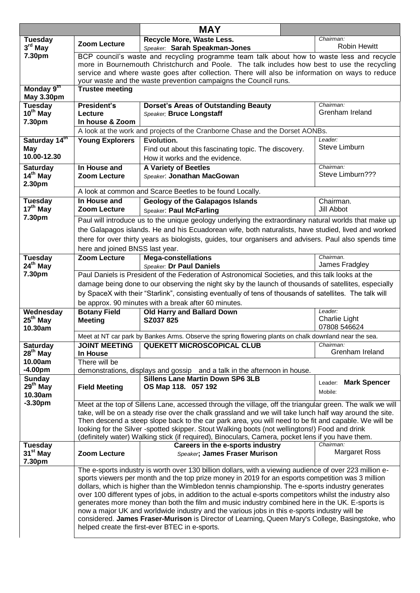|                                        |                                                                                                                                                                                                                   | <b>MAY</b>                                                                                                                                   |                                   |  |  |  |
|----------------------------------------|-------------------------------------------------------------------------------------------------------------------------------------------------------------------------------------------------------------------|----------------------------------------------------------------------------------------------------------------------------------------------|-----------------------------------|--|--|--|
| <b>Tuesday</b>                         | <b>Zoom Lecture</b>                                                                                                                                                                                               | Recycle More, Waste Less.                                                                                                                    | Chairman:                         |  |  |  |
| $3rd$ May                              |                                                                                                                                                                                                                   | Speaker: Sarah Speakman-Jones                                                                                                                | <b>Robin Hewitt</b>               |  |  |  |
| 7.30pm                                 | BCP council's waste and recycling programme team talk about how to waste less and recycle<br>more in Bournemouth Christchurch and Poole. The talk includes how best to use the recycling                          |                                                                                                                                              |                                   |  |  |  |
|                                        |                                                                                                                                                                                                                   | service and where waste goes after collection. There will also be information on ways to reduce                                              |                                   |  |  |  |
|                                        | your waste and the waste prevention campaigns the Council runs.                                                                                                                                                   |                                                                                                                                              |                                   |  |  |  |
| Monday 9th<br><b>May 3.30pm</b>        | <b>Trustee meeting</b>                                                                                                                                                                                            |                                                                                                                                              |                                   |  |  |  |
| <b>Tuesday</b>                         | <b>President's</b>                                                                                                                                                                                                | <b>Dorset's Areas of Outstanding Beauty</b>                                                                                                  | Chairman:                         |  |  |  |
| 10 <sup>th</sup> May                   | Lecture                                                                                                                                                                                                           | Speaker; Bruce Longstaff                                                                                                                     | Grenham Ireland                   |  |  |  |
| 7.30pm                                 | In house & Zoom                                                                                                                                                                                                   |                                                                                                                                              |                                   |  |  |  |
|                                        | A look at the work and projects of the Cranborne Chase and the Dorset AONBs.<br>Leader:                                                                                                                           |                                                                                                                                              |                                   |  |  |  |
| Saturday 14th<br>May                   | <b>Young Explorers</b>                                                                                                                                                                                            | Evolution.<br>Find out about this fascinating topic. The discovery.                                                                          | Steve Limburn                     |  |  |  |
| 10.00-12.30                            |                                                                                                                                                                                                                   | How it works and the evidence.                                                                                                               |                                   |  |  |  |
| <b>Saturday</b>                        | In House and                                                                                                                                                                                                      | <b>A Variety of Beetles</b>                                                                                                                  | Chairman:                         |  |  |  |
| $14th$ May                             | <b>Zoom Lecture</b>                                                                                                                                                                                               | Speaker: Jonathan MacGowan                                                                                                                   | Steve Limburn???                  |  |  |  |
| 2.30pm                                 |                                                                                                                                                                                                                   |                                                                                                                                              |                                   |  |  |  |
|                                        | A look at common and Scarce Beetles to be found Locally.                                                                                                                                                          |                                                                                                                                              |                                   |  |  |  |
| <b>Tuesday</b>                         | In House and                                                                                                                                                                                                      | <b>Geology of the Galapagos Islands</b>                                                                                                      | Chairman.                         |  |  |  |
| $17th$ May                             | <b>Zoom Lecture</b>                                                                                                                                                                                               | <b>Speaker: Paul McFarling</b>                                                                                                               | Jill Abbot                        |  |  |  |
| 7.30pm                                 |                                                                                                                                                                                                                   | Paul will introduce us to the unique geology underlying the extraordinary natural worlds that make up                                        |                                   |  |  |  |
|                                        | the Galapagos islands. He and his Ecuadorean wife, both naturalists, have studied, lived and worked                                                                                                               |                                                                                                                                              |                                   |  |  |  |
|                                        | there for over thirty years as biologists, guides, tour organisers and advisers. Paul also spends time                                                                                                            |                                                                                                                                              |                                   |  |  |  |
|                                        | here and joined BNSS last year.                                                                                                                                                                                   |                                                                                                                                              |                                   |  |  |  |
| <b>Tuesday</b><br>$24th$ May           | <b>Zoom Lecture</b>                                                                                                                                                                                               | <b>Mega-constellations</b><br>Speaker: Dr Paul Daniels                                                                                       | Chairman.<br>James Fradgley       |  |  |  |
| 7.30pm                                 |                                                                                                                                                                                                                   | Paul Daniels is President of the Federation of Astronomical Societies, and this talk looks at the                                            |                                   |  |  |  |
|                                        |                                                                                                                                                                                                                   |                                                                                                                                              |                                   |  |  |  |
|                                        | damage being done to our observing the night sky by the launch of thousands of satellites, especially<br>by SpaceX with their "Starlink", consisting eventually of tens of thousands of satellites. The talk will |                                                                                                                                              |                                   |  |  |  |
|                                        |                                                                                                                                                                                                                   | be approx. 90 minutes with a break after 60 minutes.                                                                                         |                                   |  |  |  |
| Wednesday                              | <b>Botany Field</b>                                                                                                                                                                                               | Old Harry and Ballard Down                                                                                                                   | Leader:                           |  |  |  |
| $25th$ May                             | <b>Meeting</b>                                                                                                                                                                                                    | SZ037825                                                                                                                                     | Charlie Light                     |  |  |  |
| 10.30am                                |                                                                                                                                                                                                                   |                                                                                                                                              | 07808 546624                      |  |  |  |
| <b>Saturday</b>                        | <b>JOINT MEETING</b>                                                                                                                                                                                              | Meet at NT car park by Bankes Arms. Observe the spring flowering plants on chalk downland near the sea.<br><b>QUEKETT MICROSCOPICAL CLUB</b> | Chairman:                         |  |  |  |
| $28th$ May                             | In House                                                                                                                                                                                                          |                                                                                                                                              | Grenham Ireland                   |  |  |  |
| 10.00am                                | There will be                                                                                                                                                                                                     |                                                                                                                                              |                                   |  |  |  |
| $-4.00pm$                              |                                                                                                                                                                                                                   | demonstrations, displays and gossip and a talk in the afternoon in house.                                                                    |                                   |  |  |  |
| <b>Sunday</b>                          |                                                                                                                                                                                                                   | <b>Sillens Lane Martin Down SP6 3LB</b>                                                                                                      | <b>Mark Spencer</b><br>Leader:    |  |  |  |
| $29th$ May                             | <b>Field Meeting</b>                                                                                                                                                                                              | OS Map 118. 057 192                                                                                                                          | Mobile:                           |  |  |  |
| 10.30am<br>$-3.30pm$                   |                                                                                                                                                                                                                   |                                                                                                                                              |                                   |  |  |  |
|                                        |                                                                                                                                                                                                                   | Meet at the top of Sillens Lane, accessed through the village, off the triangular green. The walk we will                                    |                                   |  |  |  |
|                                        | take, will be on a steady rise over the chalk grassland and we will take lunch half way around the site.<br>Then descend a steep slope back to the car park area, you will need to be fit and capable. We will be |                                                                                                                                              |                                   |  |  |  |
|                                        |                                                                                                                                                                                                                   | looking for the Silver -spotted skipper. Stout Walking boots (not wellingtons!) Food and drink                                               |                                   |  |  |  |
|                                        |                                                                                                                                                                                                                   | (definitely water) Walking stick (if required), Binoculars, Camera, pocket lens if you have them.                                            |                                   |  |  |  |
| <b>Tuesday</b><br>31 <sup>st</sup> May |                                                                                                                                                                                                                   | Careers in the e-sports industry                                                                                                             | Chairman:<br><b>Margaret Ross</b> |  |  |  |
| 7.30pm                                 | <b>Zoom Lecture</b>                                                                                                                                                                                               | Speaker; James Fraser Murison                                                                                                                |                                   |  |  |  |
|                                        |                                                                                                                                                                                                                   | The e-sports industry is worth over 130 billion dollars, with a viewing audience of over 223 million e-                                      |                                   |  |  |  |
|                                        |                                                                                                                                                                                                                   | sports viewers per month and the top prize money in 2019 for an esports competition was 3 million                                            |                                   |  |  |  |
|                                        | dollars, which is higher than the Wimbledon tennis championship. The e-sports industry generates                                                                                                                  |                                                                                                                                              |                                   |  |  |  |
|                                        | over 100 different types of jobs, in addition to the actual e-sports competitors whilst the industry also                                                                                                         |                                                                                                                                              |                                   |  |  |  |
|                                        | generates more money than both the film and music industry combined here in the UK. E-sports is<br>now a major UK and worldwide industry and the various jobs in this e-sports industry will be                   |                                                                                                                                              |                                   |  |  |  |
|                                        | considered. James Fraser-Murison is Director of Learning, Queen Mary's College, Basingstoke, who<br>helped create the first-ever BTEC in e-sports.                                                                |                                                                                                                                              |                                   |  |  |  |
|                                        |                                                                                                                                                                                                                   |                                                                                                                                              |                                   |  |  |  |
|                                        |                                                                                                                                                                                                                   |                                                                                                                                              |                                   |  |  |  |